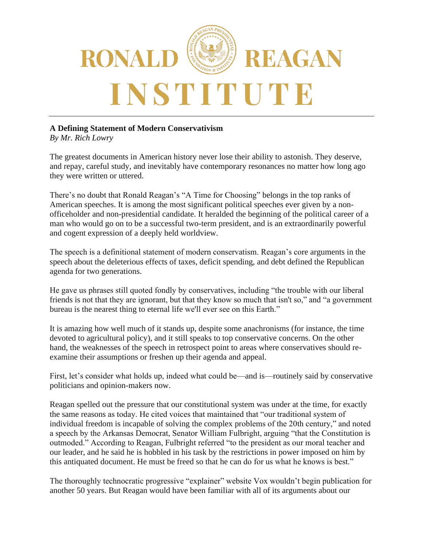

## **A Defining Statement of Modern Conservativism**

*By Mr. Rich Lowry*

The greatest documents in American history never lose their ability to astonish. They deserve, and repay, careful study, and inevitably have contemporary resonances no matter how long ago they were written or uttered.

There's no doubt that Ronald Reagan's "A Time for Choosing" belongs in the top ranks of American speeches. It is among the most significant political speeches ever given by a nonofficeholder and non-presidential candidate. It heralded the beginning of the political career of a man who would go on to be a successful two-term president, and is an extraordinarily powerful and cogent expression of a deeply held worldview.

The speech is a definitional statement of modern conservatism. Reagan's core arguments in the speech about the deleterious effects of taxes, deficit spending, and debt defined the Republican agenda for two generations.

He gave us phrases still quoted fondly by conservatives, including "the trouble with our liberal friends is not that they are ignorant, but that they know so much that isn't so," and "a government bureau is the nearest thing to eternal life we'll ever see on this Earth."

It is amazing how well much of it stands up, despite some anachronisms (for instance, the time devoted to agricultural policy), and it still speaks to top conservative concerns. On the other hand, the weaknesses of the speech in retrospect point to areas where conservatives should reexamine their assumptions or freshen up their agenda and appeal.

First, let's consider what holds up, indeed what could be—and is—routinely said by conservative politicians and opinion-makers now.

Reagan spelled out the pressure that our constitutional system was under at the time, for exactly the same reasons as today. He cited voices that maintained that "our traditional system of individual freedom is incapable of solving the complex problems of the 20th century," and noted a speech by the Arkansas Democrat, Senator William Fulbright, arguing "that the Constitution is outmoded." According to Reagan, Fulbright referred "to the president as our moral teacher and our leader, and he said he is hobbled in his task by the restrictions in power imposed on him by this antiquated document. He must be freed so that he can do for us what he knows is best."

The thoroughly technocratic progressive "explainer" website Vox wouldn't begin publication for another 50 years. But Reagan would have been familiar with all of its arguments about our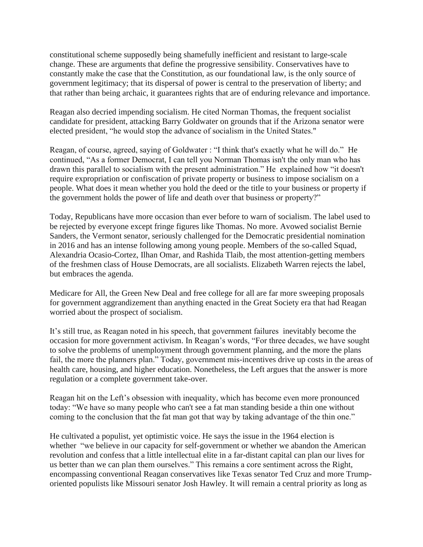constitutional scheme supposedly being shamefully inefficient and resistant to large-scale change. These are arguments that define the progressive sensibility. Conservatives have to constantly make the case that the Constitution, as our foundational law, is the only source of government legitimacy; that its dispersal of power is central to the preservation of liberty; and that rather than being archaic, it guarantees rights that are of enduring relevance and importance.

Reagan also decried impending socialism. He cited Norman Thomas, the frequent socialist candidate for president, attacking Barry Goldwater on grounds that if the Arizona senator were elected president, "he would stop the advance of socialism in the United States."

Reagan, of course, agreed, saying of Goldwater : "I think that's exactly what he will do." He continued, "As a former Democrat, I can tell you Norman Thomas isn't the only man who has drawn this parallel to socialism with the present administration." He explained how "it doesn't require expropriation or confiscation of private property or business to impose socialism on a people. What does it mean whether you hold the deed or the title to your business or property if the government holds the power of life and death over that business or property?"

Today, Republicans have more occasion than ever before to warn of socialism. The label used to be rejected by everyone except fringe figures like Thomas. No more. Avowed socialist Bernie Sanders, the Vermont senator, seriously challenged for the Democratic presidential nomination in 2016 and has an intense following among young people. Members of the so-called Squad, Alexandria Ocasio-Cortez, Ilhan Omar, and Rashida Tlaib, the most attention-getting members of the freshmen class of House Democrats, are all socialists. Elizabeth Warren rejects the label, but embraces the agenda.

Medicare for All, the Green New Deal and free college for all are far more sweeping proposals for government aggrandizement than anything enacted in the Great Society era that had Reagan worried about the prospect of socialism.

It's still true, as Reagan noted in his speech, that government failures inevitably become the occasion for more government activism. In Reagan's words, "For three decades, we have sought to solve the problems of unemployment through government planning, and the more the plans fail, the more the planners plan." Today, government mis-incentives drive up costs in the areas of health care, housing, and higher education. Nonetheless, the Left argues that the answer is more regulation or a complete government take-over.

Reagan hit on the Left's obsession with inequality, which has become even more pronounced today: "We have so many people who can't see a fat man standing beside a thin one without coming to the conclusion that the fat man got that way by taking advantage of the thin one."

He cultivated a populist, yet optimistic voice. He says the issue in the 1964 election is whether "we believe in our capacity for self-government or whether we abandon the American revolution and confess that a little intellectual elite in a far-distant capital can plan our lives for us better than we can plan them ourselves." This remains a core sentiment across the Right, encompassing conventional Reagan conservatives like Texas senator Ted Cruz and more Trumporiented populists like Missouri senator Josh Hawley. It will remain a central priority as long as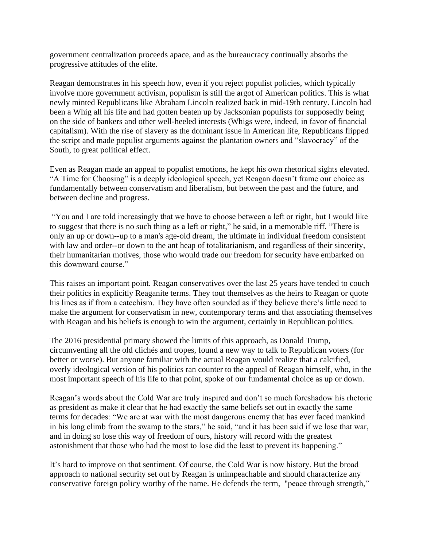government centralization proceeds apace, and as the bureaucracy continually absorbs the progressive attitudes of the elite.

Reagan demonstrates in his speech how, even if you reject populist policies, which typically involve more government activism, populism is still the argot of American politics. This is what newly minted Republicans like Abraham Lincoln realized back in mid-19th century. Lincoln had been a Whig all his life and had gotten beaten up by Jacksonian populists for supposedly being on the side of bankers and other well-heeled interests (Whigs were, indeed, in favor of financial capitalism). With the rise of slavery as the dominant issue in American life, Republicans flipped the script and made populist arguments against the plantation owners and "slavocracy" of the South, to great political effect.

Even as Reagan made an appeal to populist emotions, he kept his own rhetorical sights elevated. "A Time for Choosing" is a deeply ideological speech, yet Reagan doesn't frame our choice as fundamentally between conservatism and liberalism, but between the past and the future, and between decline and progress.

"You and I are told increasingly that we have to choose between a left or right, but I would like to suggest that there is no such thing as a left or right," he said, in a memorable riff. "There is only an up or down--up to a man's age-old dream, the ultimate in individual freedom consistent with law and order--or down to the ant heap of totalitarianism, and regardless of their sincerity, their humanitarian motives, those who would trade our freedom for security have embarked on this downward course."

This raises an important point. Reagan conservatives over the last 25 years have tended to couch their politics in explicitly Reaganite terms. They tout themselves as the heirs to Reagan or quote his lines as if from a catechism. They have often sounded as if they believe there's little need to make the argument for conservatism in new, contemporary terms and that associating themselves with Reagan and his beliefs is enough to win the argument, certainly in Republican politics.

The 2016 presidential primary showed the limits of this approach, as Donald Trump, circumventing all the old clichés and tropes, found a new way to talk to Republican voters (for better or worse). But anyone familiar with the actual Reagan would realize that a calcified, overly ideological version of his politics ran counter to the appeal of Reagan himself, who, in the most important speech of his life to that point, spoke of our fundamental choice as up or down.

Reagan's words about the Cold War are truly inspired and don't so much foreshadow his rhetoric as president as make it clear that he had exactly the same beliefs set out in exactly the same terms for decades: "We are at war with the most dangerous enemy that has ever faced mankind in his long climb from the swamp to the stars," he said, "and it has been said if we lose that war, and in doing so lose this way of freedom of ours, history will record with the greatest astonishment that those who had the most to lose did the least to prevent its happening."

It's hard to improve on that sentiment. Of course, the Cold War is now history. But the broad approach to national security set out by Reagan is unimpeachable and should characterize any conservative foreign policy worthy of the name. He defends the term, "peace through strength,"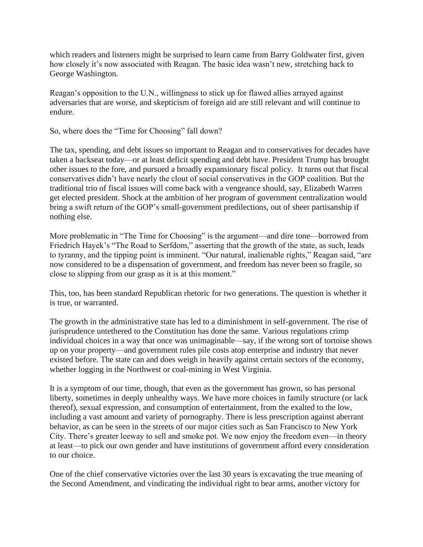which readers and listeners might be surprised to learn came from Barry Goldwater first, given how closely it's now associated with Reagan. The basic idea wasn't new, stretching back to George Washington.

Reagan's opposition to the U.N., willingness to stick up for flawed allies arrayed against adversaries that are worse, and skepticism of foreign aid are still relevant and will continue to endure.

So, where does the "Time for Choosing" fall down?

The tax, spending, and debt issues so important to Reagan and to conservatives for decades have taken a backseat today—or at least deficit spending and debt have. President Trump has brought other issues to the fore, and pursued a broadly expansionary fiscal policy. It turns out that fiscal conservatives didn't have nearly the clout of social conservatives in the GOP coalition. But the traditional trio of fiscal issues will come back with a vengeance should, say, Elizabeth Warren get elected president. Shock at the ambition of her program of government centralization would bring a swift return of the GOP's small-government predilections, out of sheer partisanship if nothing else.

More problematic in "The Time for Choosing" is the argument—and dire tone—borrowed from Friedrich Hayek's "The Road to Serfdom," asserting that the growth of the state, as such, leads to tyranny, and the tipping point is imminent. "Our natural, inalienable rights," Reagan said, "are now considered to be a dispensation of government, and freedom has never been so fragile, so close to slipping from our grasp as it is at this moment."

This, too, has been standard Republican rhetoric for two generations. The question is whether it is true, or warranted.

The growth in the administrative state has led to a diminishment in self-government. The rise of jurisprudence untethered to the Constitution has done the same. Various regulations crimp individual choices in a way that once was unimaginable—say, if the wrong sort of tortoise shows up on your property—and government rules pile costs atop enterprise and industry that never existed before. The state can and does weigh in heavily against certain sectors of the economy, whether logging in the Northwest or coal-mining in West Virginia.

It is a symptom of our time, though, that even as the government has grown, so has personal liberty, sometimes in deeply unhealthy ways. We have more choices in family structure (or lack thereof), sexual expression, and consumption of entertainment, from the exalted to the low, including a vast amount and variety of pornography. There is less prescription against aberrant behavior, as can be seen in the streets of our major cities such as San Francisco to New York City. There's greater leeway to sell and smoke pot. We now enjoy the freedom even—in theory at least—to pick our own gender and have institutions of government afford every consideration to our choice.

One of the chief conservative victories over the last 30 years is excavating the true meaning of the Second Amendment, and vindicating the individual right to bear arms, another victory for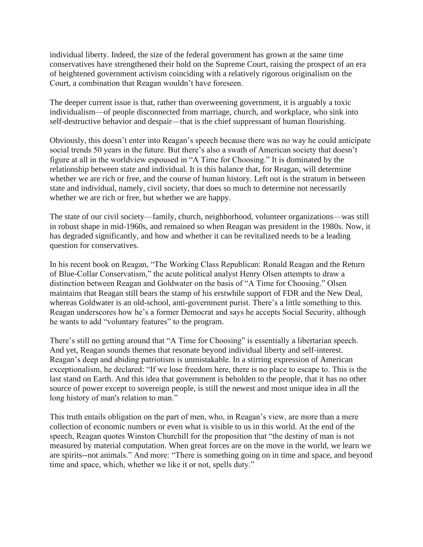individual liberty. Indeed, the size of the federal government has grown at the same time conservatives have strengthened their hold on the Supreme Court, raising the prospect of an era of heightened government activism coinciding with a relatively rigorous originalism on the Court, a combination that Reagan wouldn't have foreseen.

The deeper current issue is that, rather than overweening government, it is arguably a toxic individualism—of people disconnected from marriage, church, and workplace, who sink into self-destructive behavior and despair—that is the chief suppressant of human flourishing.

Obviously, this doesn't enter into Reagan's speech because there was no way he could anticipate social trends 50 years in the future. But there's also a swath of American society that doesn't figure at all in the worldview espoused in "A Time for Choosing." It is dominated by the relationship between state and individual. It is this balance that, for Reagan, will determine whether we are rich or free, and the course of human history. Left out is the stratum in between state and individual, namely, civil society, that does so much to determine not necessarily whether we are rich or free, but whether we are happy.

The state of our civil society—family, church, neighborhood, volunteer organizations—was still in robust shape in mid-1960s, and remained so when Reagan was president in the 1980s. Now, it has degraded significantly, and how and whether it can be revitalized needs to be a leading question for conservatives.

In his recent book on Reagan, "The Working Class Republican: Ronald Reagan and the Return of Blue-Collar Conservatism," the acute political analyst Henry Olsen attempts to draw a distinction between Reagan and Goldwater on the basis of "A Time for Choosing." Olsen maintains that Reagan still bears the stamp of his erstwhile support of FDR and the New Deal, whereas Goldwater is an old-school, anti-government purist. There's a little something to this. Reagan underscores how he's a former Democrat and says he accepts Social Security, although he wants to add "voluntary features" to the program.

There's still no getting around that "A Time for Choosing" is essentially a libertarian speech. And yet, Reagan sounds themes that resonate beyond individual liberty and self-interest. Reagan's deep and abiding patriotism is unmistakable. In a stirring expression of American exceptionalism, he declared: "If we lose freedom here, there is no place to escape to. This is the last stand on Earth. And this idea that government is beholden to the people, that it has no other source of power except to sovereign people, is still the newest and most unique idea in all the long history of man's relation to man."

This truth entails obligation on the part of men, who, in Reagan's view, are more than a mere collection of economic numbers or even what is visible to us in this world. At the end of the speech, Reagan quotes Winston Churchill for the proposition that "the destiny of man is not measured by material computation. When great forces are on the move in the world, we learn we are spirits--not animals." And more: "There is something going on in time and space, and beyond time and space, which, whether we like it or not, spells duty."